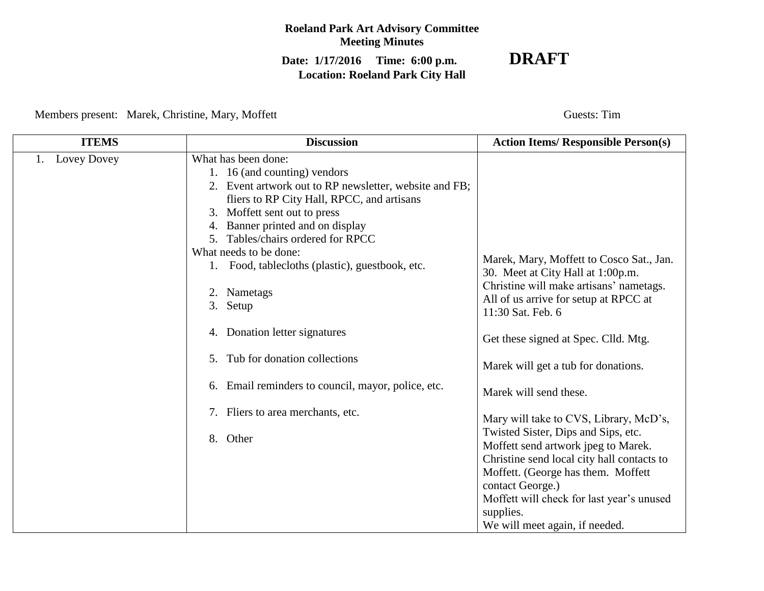## **Roeland Park Art Advisory Committee Meeting Minutes**

# **Date: 1/17/2016 Time: 6:00 p.m. DRAFT Location: Roeland Park City Hall**

Members present: Marek, Christine, Mary, Moffett Guests: Tim

| <b>ITEMS</b>      | <b>Discussion</b>                                                                                                                                                                                                                                                                                                                                                                                                                                                                                                                                                         | <b>Action Items/ Responsible Person(s)</b>                                                                                                                                                                                                                                                                                                                                                                                                                                                                                                                                                |
|-------------------|---------------------------------------------------------------------------------------------------------------------------------------------------------------------------------------------------------------------------------------------------------------------------------------------------------------------------------------------------------------------------------------------------------------------------------------------------------------------------------------------------------------------------------------------------------------------------|-------------------------------------------------------------------------------------------------------------------------------------------------------------------------------------------------------------------------------------------------------------------------------------------------------------------------------------------------------------------------------------------------------------------------------------------------------------------------------------------------------------------------------------------------------------------------------------------|
| Lovey Dovey<br>1. | What has been done:<br>1. 16 (and counting) vendors<br>2. Event artwork out to RP newsletter, website and FB;<br>fliers to RP City Hall, RPCC, and artisans<br>3. Moffett sent out to press<br>Banner printed and on display<br>4.<br>5. Tables/chairs ordered for RPCC<br>What needs to be done:<br>1. Food, tablecloths (plastic), guestbook, etc.<br>2. Nametags<br>3. Setup<br>4. Donation letter signatures<br>Tub for donation collections<br>5 <sub>1</sub><br>6. Email reminders to council, mayor, police, etc.<br>7. Fliers to area merchants, etc.<br>8. Other | Marek, Mary, Moffett to Cosco Sat., Jan.<br>30. Meet at City Hall at 1:00p.m.<br>Christine will make artisans' nametags.<br>All of us arrive for setup at RPCC at<br>11:30 Sat. Feb. 6<br>Get these signed at Spec. Clld. Mtg.<br>Marek will get a tub for donations.<br>Marek will send these.<br>Mary will take to CVS, Library, McD's,<br>Twisted Sister, Dips and Sips, etc.<br>Moffett send artwork jpeg to Marek.<br>Christine send local city hall contacts to<br>Moffett. (George has them. Moffett<br>contact George.)<br>Moffett will check for last year's unused<br>supplies. |
|                   |                                                                                                                                                                                                                                                                                                                                                                                                                                                                                                                                                                           | We will meet again, if needed.                                                                                                                                                                                                                                                                                                                                                                                                                                                                                                                                                            |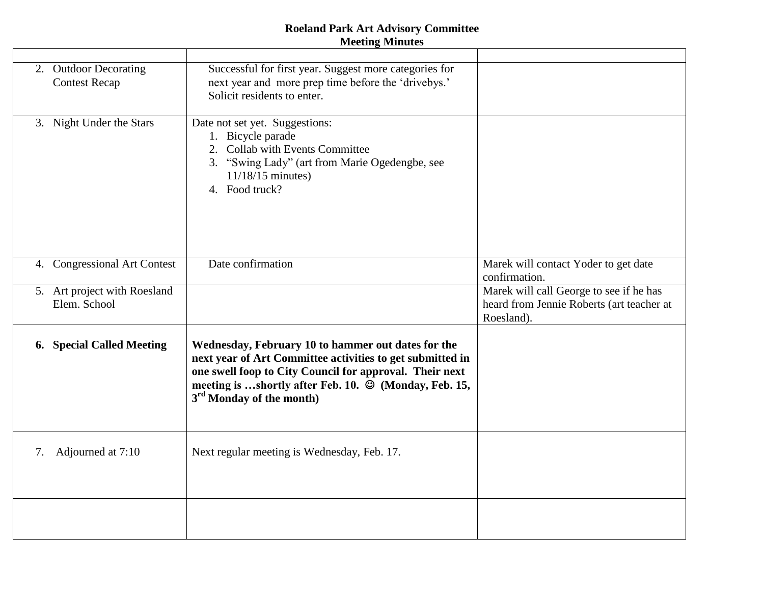### **Roeland Park Art Advisory Committee Meeting Minutes**

|    |                                               | www.com                                                                                                                                                                                                                                                                                  |                                                                                                    |
|----|-----------------------------------------------|------------------------------------------------------------------------------------------------------------------------------------------------------------------------------------------------------------------------------------------------------------------------------------------|----------------------------------------------------------------------------------------------------|
|    |                                               |                                                                                                                                                                                                                                                                                          |                                                                                                    |
|    | 2. Outdoor Decorating<br><b>Contest Recap</b> | Successful for first year. Suggest more categories for<br>next year and more prep time before the 'drivebys.'<br>Solicit residents to enter.                                                                                                                                             |                                                                                                    |
|    | 3. Night Under the Stars                      | Date not set yet. Suggestions:<br>1. Bicycle parade<br>2. Collab with Events Committee<br>3. "Swing Lady" (art from Marie Ogedengbe, see<br>$11/18/15$ minutes)<br>4. Food truck?                                                                                                        |                                                                                                    |
|    | 4. Congressional Art Contest                  | Date confirmation                                                                                                                                                                                                                                                                        | Marek will contact Yoder to get date<br>confirmation.                                              |
|    | 5. Art project with Roesland<br>Elem. School  |                                                                                                                                                                                                                                                                                          | Marek will call George to see if he has<br>heard from Jennie Roberts (art teacher at<br>Roesland). |
|    | 6. Special Called Meeting                     | Wednesday, February 10 to hammer out dates for the<br>next year of Art Committee activities to get submitted in<br>one swell foop to City Council for approval. Their next<br>meeting is shortly after Feb. 10. $\circledcirc$ (Monday, Feb. 15,<br>3 <sup>rd</sup> Monday of the month) |                                                                                                    |
| 7. | Adjourned at 7:10                             | Next regular meeting is Wednesday, Feb. 17.                                                                                                                                                                                                                                              |                                                                                                    |
|    |                                               |                                                                                                                                                                                                                                                                                          |                                                                                                    |